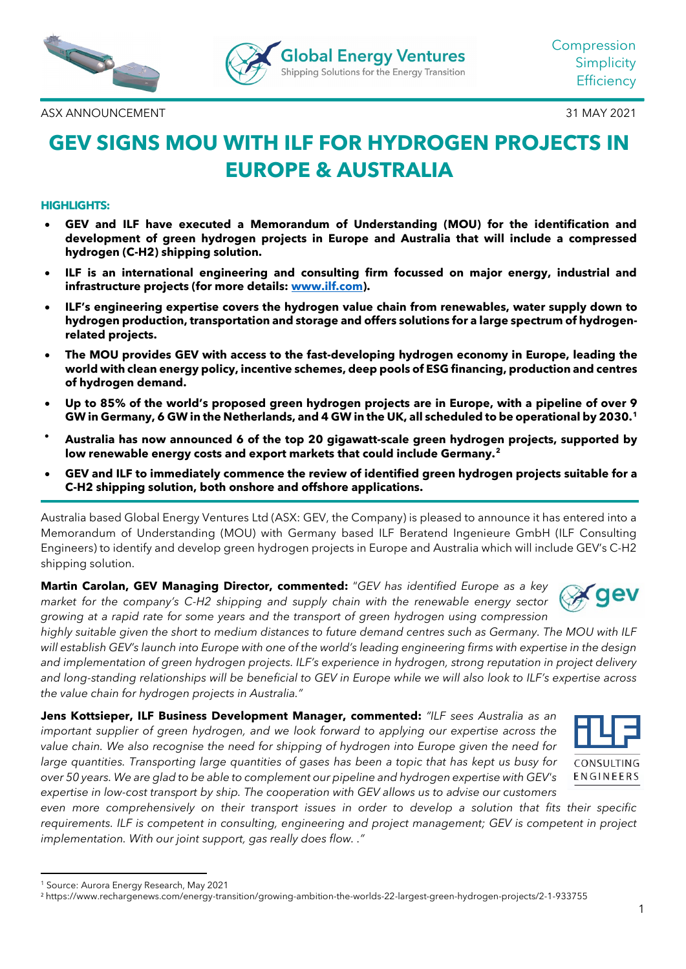

ASX ANNOUNCEMENT 31 MAY 2021

# **GEV SIGNS MOU WITH ILF FOR HYDROGEN PROJECTS IN EUROPE & AUSTRALIA**

### **HIGHLIGHTS:**

- **GEV and ILF have executed a Memorandum of Understanding (MOU) for the identification and development of green hydrogen projects in Europe and Australia that will include a compressed hydrogen (C-H2) shipping solution.**
- **ILF is an international engineering and consulting firm focussed on major energy, industrial and infrastructure projects (for more details: [www.ilf.com\)](http://www.ilf.com/).**
- **ILF's engineering expertise covers the hydrogen value chain from renewables, water supply down to hydrogen production, transportation and storage and offers solutions for a large spectrum of hydrogenrelated projects.**
- **The MOU provides GEV with access to the fast-developing hydrogen economy in Europe, leading the world with clean energy policy, incentive schemes, deep pools of ESG financing, production and centres of hydrogen demand.**
- **Up to 85% of the world's proposed green hydrogen projects are in Europe, with a pipeline of over 9 GW in Germany, 6 GW in the Netherlands, and 4 GW in the UK, all scheduled to be operational by 2030.[1](#page-0-0)**
- **Australia has now announced 6 of the top 20 gigawatt-scale green hydrogen projects, supported by low renewable energy costs and export markets that could include Germany.[2](#page-0-1)**
- **GEV and ILF to immediately commence the review of identified green hydrogen projects suitable for a C-H2 shipping solution, both onshore and offshore applications.**

Australia based Global Energy Ventures Ltd (ASX: GEV, the Company) is pleased to announce it has entered into a Memorandum of Understanding (MOU) with Germany based ILF Beratend Ingenieure GmbH (ILF Consulting Engineers) to identify and develop green hydrogen projects in Europe and Australia which will include GEV's C-H2 shipping solution.

**Martin Carolan, GEV Managing Director, commented:** "*GEV has identified Europe as a key market for the company's C-H2 shipping and supply chain with the renewable energy sector growing at a rapid rate for some years and the transport of green hydrogen using compression* 



*highly suitable given the short to medium distances to future demand centres such as Germany. The MOU with ILF will establish GEV's launch into Europe with one of the world's leading engineering firms with expertise in the design and implementation of green hydrogen projects. ILF's experience in hydrogen, strong reputation in project delivery and long-standing relationships will be beneficial to GEV in Europe while we will also look to ILF's expertise across the value chain for hydrogen projects in Australia."*

**Jens Kottsieper, ILF Business Development Manager, commented:** *"ILF sees Australia as an important supplier of green hydrogen, and we look forward to applying our expertise across the value chain. We also recognise the need for shipping of hydrogen into Europe given the need for large quantities. Transporting large quantities of gases has been a topic that has kept us busy for over 50 years. We are glad to be able to complement our pipeline and hydrogen expertise with GEV's expertise in low-cost transport by ship. The cooperation with GEV allows us to advise our customers* 



*even more comprehensively on their transport issues in order to develop a solution that fits their specific*  requirements. ILF is competent in consulting, engineering and project management; GEV is competent in project *implementation. With our joint support, gas really does flow. ."*

<span id="page-0-0"></span><sup>1</sup> Source: Aurora Energy Research, May 2021

<span id="page-0-1"></span><sup>2</sup> https://www.rechargenews.com/energy-transition/growing-ambition-the-worlds-22-largest-green-hydrogen-projects/2-1-933755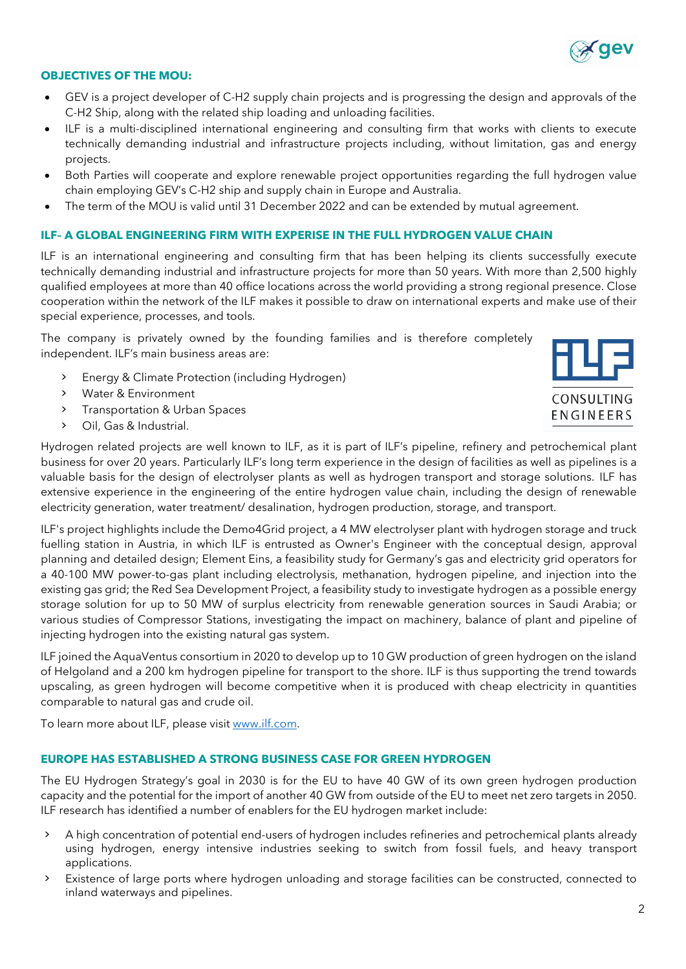

### **OBJECTIVES OF THE MOU:**

- GEV is a project developer of C-H2 supply chain projects and is progressing the design and approvals of the C-H2 Ship, along with the related ship loading and unloading facilities.
- ILF is a multi-disciplined international engineering and consulting firm that works with clients to execute technically demanding industrial and infrastructure projects including, without limitation, gas and energy projects.
- Both Parties will cooperate and explore renewable project opportunities regarding the full hydrogen value chain employing GEV's C-H2 ship and supply chain in Europe and Australia.
- The term of the MOU is valid until 31 December 2022 and can be extended by mutual agreement.

### **ILF– A GLOBAL ENGINEERING FIRM WITH EXPERISE IN THE FULL HYDROGEN VALUE CHAIN**

ILF is an international engineering and consulting firm that has been helping its clients successfully execute technically demanding industrial and infrastructure projects for more than 50 years. With more than 2,500 highly qualified employees at more than 40 office locations across the world providing a strong regional presence. Close cooperation within the network of the ILF makes it possible to draw on international experts and make use of their special experience, processes, and tools.

The company is privately owned by the founding families and is therefore completely independent. ILF's main business areas are:

- > Energy & Climate Protection (including Hydrogen)
- > Water & Environment
- > Transportation & Urban Spaces
- > Oil, Gas & Industrial.



Hydrogen related projects are well known to ILF, as it is part of ILF's pipeline, refinery and petrochemical plant business for over 20 years. Particularly ILF's long term experience in the design of facilities as well as pipelines is a valuable basis for the design of electrolyser plants as well as hydrogen transport and storage solutions. ILF has extensive experience in the engineering of the entire hydrogen value chain, including the design of renewable electricity generation, water treatment/ desalination, hydrogen production, storage, and transport.

ILF's project highlights include the Demo4Grid project, a 4 MW electrolyser plant with hydrogen storage and truck fuelling station in Austria, in which ILF is entrusted as Owner's Engineer with the conceptual design, approval planning and detailed design; Element Eins, a feasibility study for Germany's gas and electricity grid operators for a 40-100 MW power-to-gas plant including electrolysis, methanation, hydrogen pipeline, and injection into the existing gas grid; the Red Sea Development Project, a feasibility study to investigate hydrogen as a possible energy storage solution for up to 50 MW of surplus electricity from renewable generation sources in Saudi Arabia; or various studies of Compressor Stations, investigating the impact on machinery, balance of plant and pipeline of injecting hydrogen into the existing natural gas system.

ILF joined the AquaVentus consortium in 2020 to develop up to 10 GW production of green hydrogen on the island of Helgoland and a 200 km hydrogen pipeline for transport to the shore. ILF is thus supporting the trend towards upscaling, as green hydrogen will become competitive when it is produced with cheap electricity in quantities comparable to natural gas and crude oil.

To learn more about ILF, please visit [www.ilf.com.](http://www.ilf.com/)

### **EUROPE HAS ESTABLISHED A STRONG BUSINESS CASE FOR GREEN HYDROGEN**

The EU Hydrogen Strategy's goal in 2030 is for the EU to have 40 GW of its own green hydrogen production capacity and the potential for the import of another 40 GW from outside of the EU to meet net zero targets in 2050. ILF research has identified a number of enablers for the EU hydrogen market include:

- > A high concentration of potential end-users of hydrogen includes refineries and petrochemical plants already using hydrogen, energy intensive industries seeking to switch from fossil fuels, and heavy transport applications.
- > Existence of large ports where hydrogen unloading and storage facilities can be constructed, connected to inland waterways and pipelines.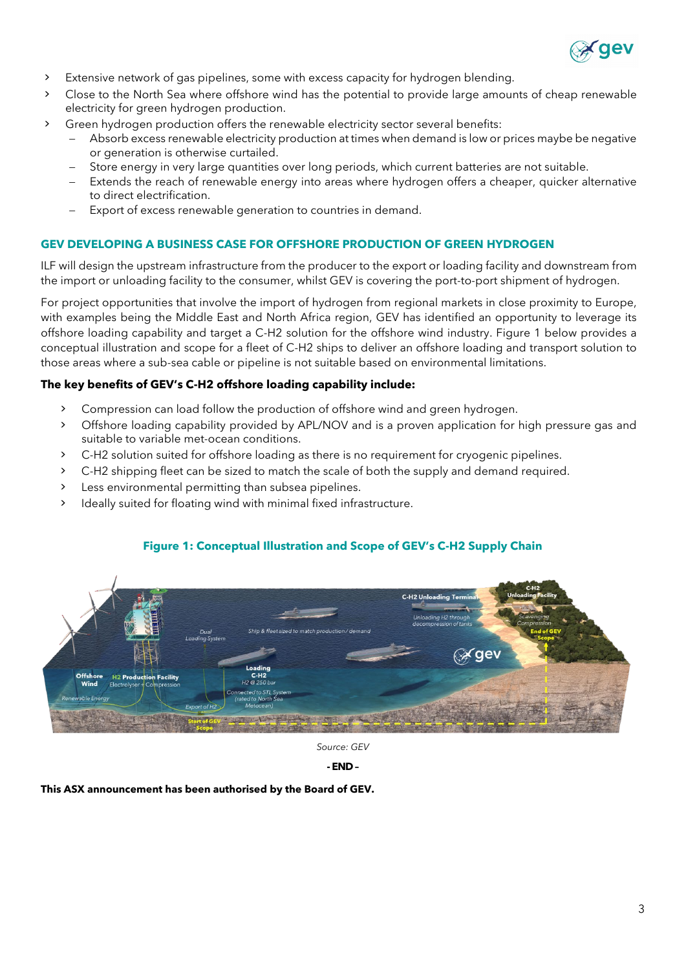

- > Extensive network of gas pipelines, some with excess capacity for hydrogen blending.
- > Close to the North Sea where offshore wind has the potential to provide large amounts of cheap renewable electricity for green hydrogen production.
- > Green hydrogen production offers the renewable electricity sector several benefits:
	- Absorb excess renewable electricity production at times when demand is low or prices maybe be negative or generation is otherwise curtailed.
	- Store energy in very large quantities over long periods, which current batteries are not suitable.
	- Extends the reach of renewable energy into areas where hydrogen offers a cheaper, quicker alternative to direct electrification.
	- − Export of excess renewable generation to countries in demand.

### **GEV DEVELOPING A BUSINESS CASE FOR OFFSHORE PRODUCTION OF GREEN HYDROGEN**

ILF will design the upstream infrastructure from the producer to the export or loading facility and downstream from the import or unloading facility to the consumer, whilst GEV is covering the port-to-port shipment of hydrogen.

For project opportunities that involve the import of hydrogen from regional markets in close proximity to Europe, with examples being the Middle East and North Africa region, GEV has identified an opportunity to leverage its offshore loading capability and target a C-H2 solution for the offshore wind industry. Figure 1 below provides a conceptual illustration and scope for a fleet of C-H2 ships to deliver an offshore loading and transport solution to those areas where a sub-sea cable or pipeline is not suitable based on environmental limitations.

### **The key benefits of GEV's C-H2 offshore loading capability include:**

- > Compression can load follow the production of offshore wind and green hydrogen.
- > Offshore loading capability provided by APL/NOV and is a proven application for high pressure gas and suitable to variable met-ocean conditions.
- > C-H2 solution suited for offshore loading as there is no requirement for cryogenic pipelines.
- > C-H2 shipping fleet can be sized to match the scale of both the supply and demand required.
- > Less environmental permitting than subsea pipelines.
- > Ideally suited for floating wind with minimal fixed infrastructure.

# C-H2 Unloading T i∕aev **H2 Production Facility**

### **Figure 1: Conceptual Illustration and Scope of GEV's C-H2 Supply Chain**

*Source: GEV* 

**- END –**

**This ASX announcement has been authorised by the Board of GEV.**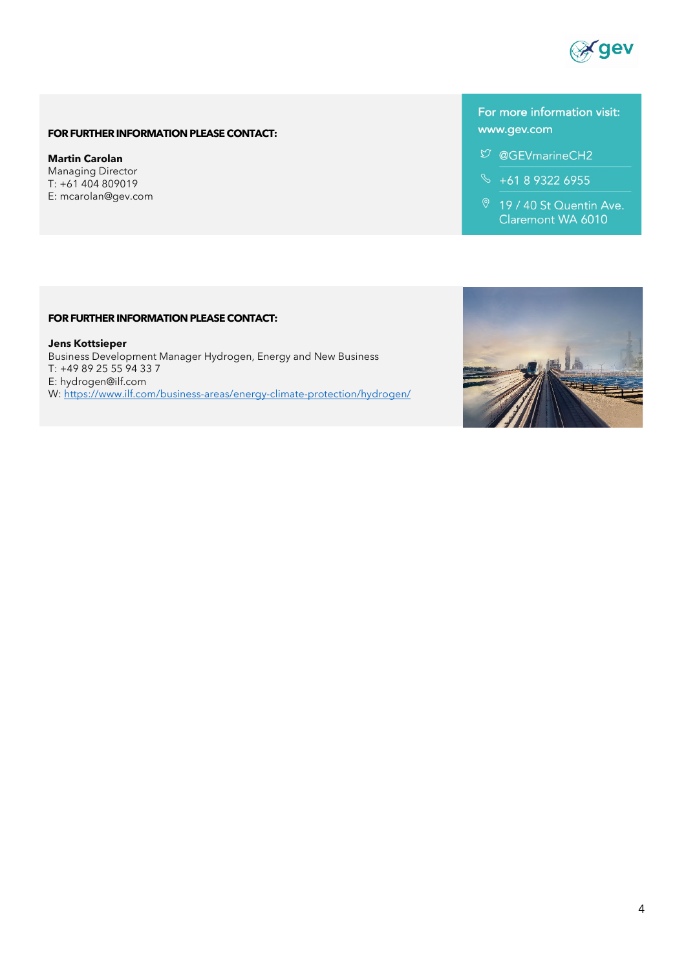

### **FOR FURTHER INFORMATION PLEASE CONTACT:**

**Martin Carolan** Managing Director T: +61 404 809019 E: [mcarolan@gev.com](mailto:mcarolan@gev.commcarolan)

## For more information visit: www.gev.com

- $$$  @GEVmarineCH2
- $\% +61893226955$
- 9 19 / 40 St Quentin Ave. Claremont WA 6010

#### **FOR FURTHER INFORMATION PLEASE CONTACT:**

**Jens Kottsieper** Business Development Manager Hydrogen, Energy and New Business T: +49 89 25 55 94 33 7 E: [hydrogen@ilf.com](mailto:mcarolan@gev.commcarolan) W[: https://www.ilf.com/business-areas/energy-climate-protection/hydrogen/](https://www.ilf.com/business-areas/energy-climate-protection/hydrogen/)